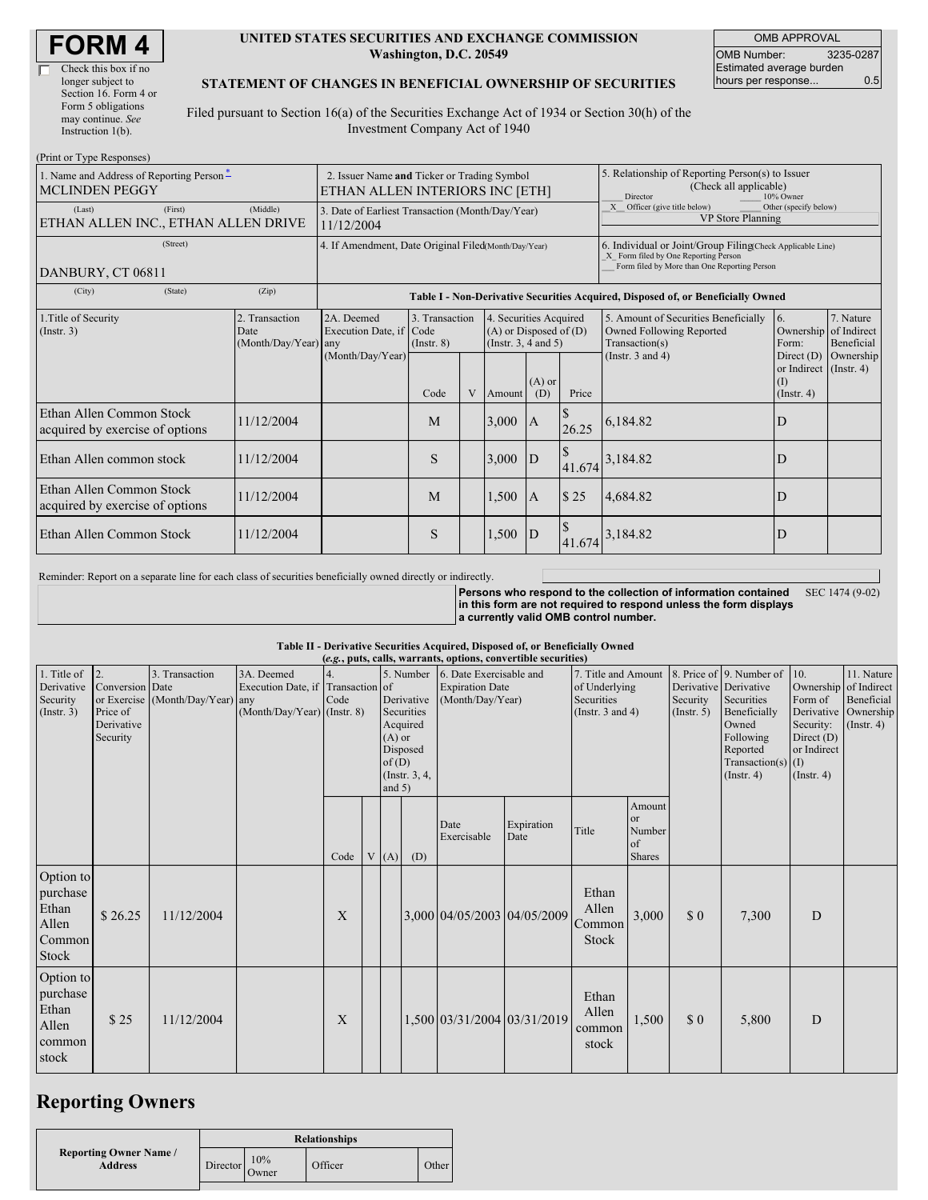| Check this box if no  |
|-----------------------|
| longer subject to     |
| Section 16. Form 4 or |
| Form 5 obligations    |
| may continue. See     |
| Instruction $1(b)$ .  |
|                       |

### **UNITED STATES SECURITIES AND EXCHANGE COMMISSION Washington, D.C. 20549**

OMB APPROVAL OMB Number: 3235-0287 Estimated average burden hours per response... 0.5

### **STATEMENT OF CHANGES IN BENEFICIAL OWNERSHIP OF SECURITIES**

Filed pursuant to Section 16(a) of the Securities Exchange Act of 1934 or Section 30(h) of the Investment Company Act of 1940

| (Print or Type Responses)                                         |                                                                                |                                                                                                                                                                                                            |                                   |   |        |                                                                                  |                                                                                                     |                                                                                                             |                                                                                |                                      |  |
|-------------------------------------------------------------------|--------------------------------------------------------------------------------|------------------------------------------------------------------------------------------------------------------------------------------------------------------------------------------------------------|-----------------------------------|---|--------|----------------------------------------------------------------------------------|-----------------------------------------------------------------------------------------------------|-------------------------------------------------------------------------------------------------------------|--------------------------------------------------------------------------------|--------------------------------------|--|
| 1. Name and Address of Reporting Person-<br><b>MCLINDEN PEGGY</b> | 2. Issuer Name and Ticker or Trading Symbol<br>ETHAN ALLEN INTERIORS INC [ETH] |                                                                                                                                                                                                            |                                   |   |        |                                                                                  | 5. Relationship of Reporting Person(s) to Issuer<br>(Check all applicable)<br>Director<br>10% Owner |                                                                                                             |                                                                                |                                      |  |
| (First)<br>(Last)<br>ETHAN ALLEN INC., ETHAN ALLEN DRIVE          | 3. Date of Earliest Transaction (Month/Day/Year)<br>11/12/2004                 |                                                                                                                                                                                                            |                                   |   |        |                                                                                  | X Officer (give title below)<br>Other (specify below)<br>VP Store Planning                          |                                                                                                             |                                                                                |                                      |  |
| (Street)<br>DANBURY, CT 06811                                     |                                                                                | 4. If Amendment, Date Original Filed(Month/Day/Year)<br>6. Individual or Joint/Group Filing(Check Applicable Line)<br>X Form filed by One Reporting Person<br>Form filed by More than One Reporting Person |                                   |   |        |                                                                                  |                                                                                                     |                                                                                                             |                                                                                |                                      |  |
| (State)<br>(City)                                                 | (Zip)                                                                          |                                                                                                                                                                                                            |                                   |   |        |                                                                                  |                                                                                                     | Table I - Non-Derivative Securities Acquired, Disposed of, or Beneficially Owned                            |                                                                                |                                      |  |
| 1. Title of Security<br>$($ Instr. 3 $)$                          | 2. Transaction<br>Date<br>(Month/Day/Year)                                     | 2A. Deemed<br>Execution Date, if Code<br>any<br>(Month/Day/Year)                                                                                                                                           | 3. Transaction<br>$($ Instr. $8)$ |   |        | 4. Securities Acquired<br>$(A)$ or Disposed of $(D)$<br>(Instr. $3, 4$ and $5$ ) |                                                                                                     | 5. Amount of Securities Beneficially<br>Owned Following Reported<br>Transaction(s)<br>(Instr. $3$ and $4$ ) | 6.<br>Ownership of Indirect<br>Form:<br>Direct $(D)$<br>or Indirect (Instr. 4) | 7. Nature<br>Beneficial<br>Ownership |  |
|                                                                   |                                                                                |                                                                                                                                                                                                            | Code                              | V | Amount | $(A)$ or<br>(D)                                                                  | Price                                                                                               |                                                                                                             | (1)<br>(Insert. 4)                                                             |                                      |  |
| Ethan Allen Common Stock<br>acquired by exercise of options       | 11/12/2004                                                                     |                                                                                                                                                                                                            | M                                 |   | 3,000  | <sup>A</sup>                                                                     | 26.25                                                                                               | 6,184.82                                                                                                    | D                                                                              |                                      |  |
| Ethan Allen common stock                                          | 11/12/2004                                                                     |                                                                                                                                                                                                            | S                                 |   | 3,000  | $\mathbf{D}$                                                                     |                                                                                                     | 41.674 3,184.82                                                                                             | D                                                                              |                                      |  |
| Ethan Allen Common Stock<br>acquired by exercise of options       | 11/12/2004                                                                     |                                                                                                                                                                                                            | M                                 |   | 1,500  | $\mathbf{A}$                                                                     | \$25                                                                                                | 4,684.82                                                                                                    | D                                                                              |                                      |  |
| Ethan Allen Common Stock                                          | 11/12/2004                                                                     |                                                                                                                                                                                                            | S                                 |   | 1,500  | $\mathbf{D}$                                                                     |                                                                                                     | 41.674 3,184.82                                                                                             | D                                                                              |                                      |  |

Reminder: Report on a separate line for each class of securities beneficially owned directly or indirectly.

**Persons who respond to the collection of information contained in this form are not required to respond unless the form displays a currently valid OMB control number.** SEC 1474 (9-02)

### **Table II - Derivative Securities Acquired, Disposed of, or Beneficially Owned**

|                                                            |                                                                             |                                        |                                                                                  |            |                                  |                                                                   |                                                                                 | (e.g., puts, calls, warrants, options, convertible securities) |                                                                             |                                                          |                                                  |                                                                                                                                                          |                                                                                                         |                                                                      |
|------------------------------------------------------------|-----------------------------------------------------------------------------|----------------------------------------|----------------------------------------------------------------------------------|------------|----------------------------------|-------------------------------------------------------------------|---------------------------------------------------------------------------------|----------------------------------------------------------------|-----------------------------------------------------------------------------|----------------------------------------------------------|--------------------------------------------------|----------------------------------------------------------------------------------------------------------------------------------------------------------|---------------------------------------------------------------------------------------------------------|----------------------------------------------------------------------|
| 1. Title of<br>Derivative<br>Security<br>(Insert. 3)       | 12.<br>Conversion Date<br>or Exercise<br>Price of<br>Derivative<br>Security | 3. Transaction<br>(Month/Day/Year) any | 3A. Deemed<br>Execution Date, if Transaction of<br>$(Month/Day/Year)$ (Instr. 8) | 4.<br>Code | $(A)$ or<br>of $(D)$<br>and $5)$ | Derivative<br>Securities<br>Acquired<br>Disposed<br>(Instr. 3, 4, | 5. Number 6. Date Exercisable and<br><b>Expiration Date</b><br>(Month/Day/Year) |                                                                | 7. Title and Amount<br>of Underlying<br>Securities<br>(Instr. $3$ and $4$ ) |                                                          | Security<br>(Insert. 5)                          | 8. Price of 9. Number of<br>Derivative Derivative<br>Securities<br>Beneficially<br>Owned<br>Following<br>Reported<br>Transaction(s) $(I)$<br>(Insert. 4) | 10.<br>Ownership of Indirect<br>Form of<br>Security:<br>Direct $(D)$<br>or Indirect<br>$($ Instr. 4 $)$ | 11. Nature<br>Beneficial<br>Derivative Ownership<br>$($ Instr. 4 $)$ |
|                                                            |                                                                             |                                        |                                                                                  | Code       | V(A)                             | (D)                                                               | Date<br>Exercisable                                                             | Expiration<br>Date                                             | Title                                                                       | Amount<br><sub>or</sub><br>Number<br>of<br><b>Shares</b> |                                                  |                                                                                                                                                          |                                                                                                         |                                                                      |
| Option to<br>purchase<br>Ethan<br>Allen<br>Common<br>Stock | \$26.25                                                                     | 11/12/2004                             |                                                                                  | X          |                                  |                                                                   | 3,000 04/05/2003 04/05/2009                                                     |                                                                | Ethan<br>Allen<br>Common<br>Stock                                           | 3,000                                                    | $\boldsymbol{\mathsf{S}}\boldsymbol{\mathsf{0}}$ | 7,300                                                                                                                                                    | D                                                                                                       |                                                                      |
| Option to<br>purchase<br>Ethan<br>Allen<br>common<br>stock | \$25                                                                        | 11/12/2004                             |                                                                                  | X          |                                  |                                                                   | 1,500 03/31/2004 03/31/2019                                                     |                                                                | Ethan<br>Allen<br>common<br>stock                                           | 1,500                                                    | $\boldsymbol{\mathsf{S}}\boldsymbol{\mathsf{0}}$ | 5,800                                                                                                                                                    | D                                                                                                       |                                                                      |

## **Reporting Owners**

|                                                 |          |              | <b>Relationships</b> |       |
|-------------------------------------------------|----------|--------------|----------------------|-------|
| <b>Reporting Owner Name /</b><br><b>Address</b> | Director | 10%<br>Owner | Officer              | Other |